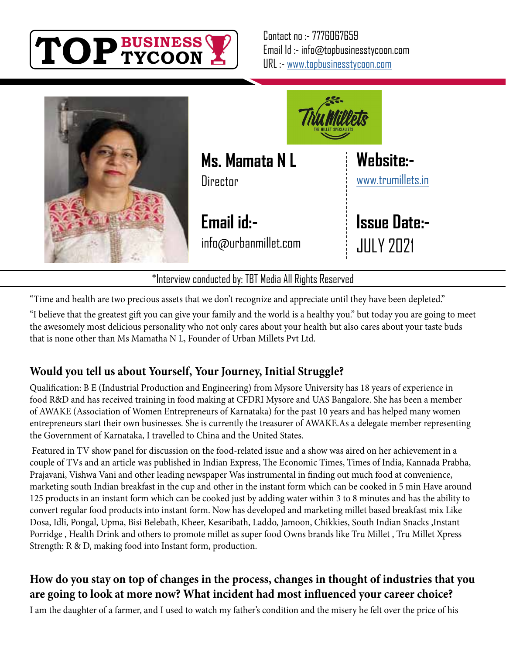

Contact no :- 7776067659 Email Id :- info@topbusinesstycoon.com URL :- [www.topbusinesstycoon.com](https://www.topbusinesstycoon.com/)





**Ms. Mamata N L**

**Email id:** info@urbanmillet.com **[Website:](https://www.talentresourze.com/)** [www.trumillets.in](http://www.trumillets.in)

**Issue Date:-** JULY 2021

"Time and health are two precious assets that we don't recognize and appreciate until they have been depleted."

"I believe that the greatest gift you can give your family and the world is a healthy you." but today you are going to meet the awesomely most delicious personality who not only cares about your health but also cares about your taste buds that is none other than Ms Mamatha N L, Founder of Urban Millets Pvt Ltd.

\*Interview conducted by: TBT Media All Rights Reserved

# **Would you tell us about Yourself, Your Journey, Initial Struggle?**

Qualification: B E (Industrial Production and Engineering) from Mysore University has 18 years of experience in food R&D and has received training in food making at CFDRI Mysore and UAS Bangalore. She has been a member of AWAKE (Association of Women Entrepreneurs of Karnataka) for the past 10 years and has helped many women entrepreneurs start their own businesses. She is currently the treasurer of AWAKE.As a delegate member representing the Government of Karnataka, I travelled to China and the United States.

 Featured in TV show panel for discussion on the food-related issue and a show was aired on her achievement in a couple of TVs and an article was published in Indian Express, The Economic Times, Times of India, Kannada Prabha, Prajavani, Vishwa Vani and other leading newspaper Was instrumental in finding out much food at convenience, marketing south Indian breakfast in the cup and other in the instant form which can be cooked in 5 min Have around 125 products in an instant form which can be cooked just by adding water within 3 to 8 minutes and has the ability to convert regular food products into instant form. Now has developed and marketing millet based breakfast mix Like Dosa, Idli, Pongal, Upma, Bisi Belebath, Kheer, Kesaribath, Laddo, Jamoon, Chikkies, South Indian Snacks ,Instant Porridge , Health Drink and others to promote millet as super food Owns brands like Tru Millet , Tru Millet Xpress Strength: R & D, making food into Instant form, production.

# **How do you stay on top of changes in the process, changes in thought of industries that you are going to look at more now? What incident had most influenced your career choice?**

I am the daughter of a farmer, and I used to watch my father's condition and the misery he felt over the price of his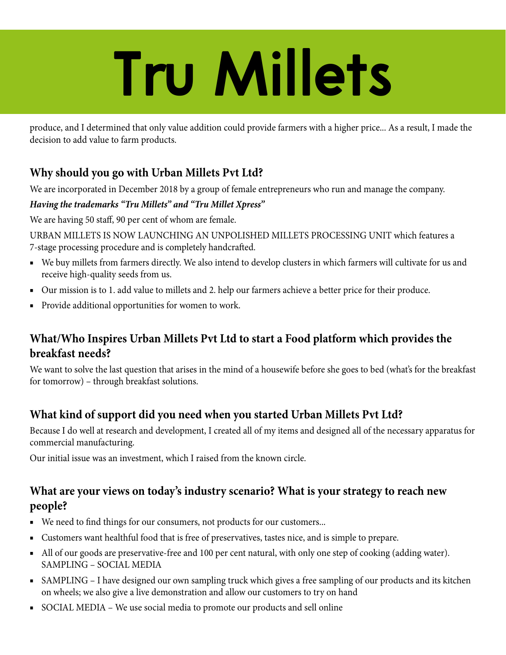# **Tru Millets**

produce, and I determined that only value addition could provide farmers with a higher price... As a result, I made the decision to add value to farm products.

## **Why should you go with Urban Millets Pvt Ltd?**

We are incorporated in December 2018 by a group of female entrepreneurs who run and manage the company.

#### *Having the trademarks "Tru Millets" and "Tru Millet Xpress"*

We are having 50 staff, 90 per cent of whom are female.

URBAN MILLETS IS NOW LAUNCHING AN UNPOLISHED MILLETS PROCESSING UNIT which features a 7-stage processing procedure and is completely handcrafted.

- We buy millets from farmers directly. We also intend to develop clusters in which farmers will cultivate for us and receive high-quality seeds from us.
- Our mission is to 1. add value to millets and 2. help our farmers achieve a better price for their produce.
- Provide additional opportunities for women to work.

## **What/Who Inspires Urban Millets Pvt Ltd to start a Food platform which provides the breakfast needs?**

We want to solve the last question that arises in the mind of a housewife before she goes to bed (what's for the breakfast for tomorrow) – through breakfast solutions.

## **What kind of support did you need when you started Urban Millets Pvt Ltd?**

Because I do well at research and development, I created all of my items and designed all of the necessary apparatus for commercial manufacturing.

Our initial issue was an investment, which I raised from the known circle.

#### **What are your views on today's industry scenario? What is your strategy to reach new people?**

- We need to find things for our consumers, not products for our customers...
- Customers want healthful food that is free of preservatives, tastes nice, and is simple to prepare.
- All of our goods are preservative-free and 100 per cent natural, with only one step of cooking (adding water). SAMPLING – SOCIAL MEDIA
- SAMPLING I have designed our own sampling truck which gives a free sampling of our products and its kitchen on wheels; we also give a live demonstration and allow our customers to try on hand
- SOCIAL MEDIA We use social media to promote our products and sell online